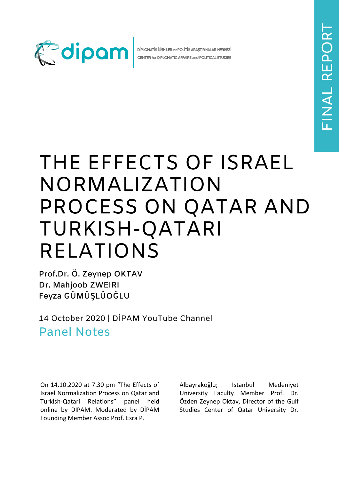

DİPLOMATİK İLİŞKİLER ve POLİTİK ARAŞTIRMALAR MERKEZİ CENTER for DIPLOMATIC AFFAIRS and POLITICAL STUDIES

## THE EFFECTS OF ISRAEL NORMALIZATION PROCESS ON QATAR AND TURKISH-QATARI **RELATIONS**

Prof.Dr. Ö. Zeynep OKTAV Dr. Mahjoob ZWEIRI Feyza GÜMÜŞLÜOĞLU

14 October 2020 | DİPAM YouTube Channel **Panel Notes** 

On 14.10.2020 at 7.30 pm "The Effects of Israel Normalization Process on Qatar and Turkish-Qatari Relations" panel held online by DIPAM. Moderated by DİPAM Founding Member Assoc.Prof. Esra P.

Albayrakoğlu; Istanbul Medeniyet University Faculty Member Prof. Dr. Özden Zeynep Oktav, Director of the Gulf Studies Center of Qatar University Dr.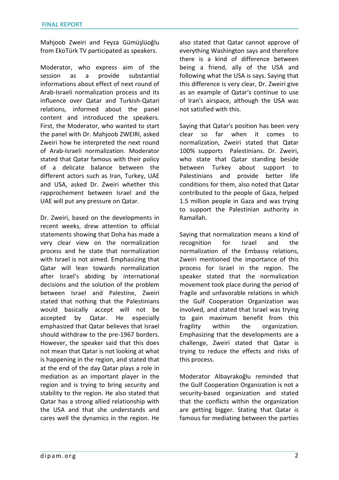Mahjoob Zweiri and Feyza Gümüşlüoğlu from EkoTürk TV participated as speakers.

Moderator, who express aim of the session as a provide substantial informations about effect of next round of Arab-Israeli normalization process and its influence over Qatar and Turkish-Qatari relations, informed about the panel content and introduced the speakers. First, the Moderator, who wanted to start the panel with Dr. Mahjoob ZWEIRI, asked Zweiri how he interpreted the next round of Arab-Israeli normalization. Moderator stated that Qatar famous with their policy of a delicate balance between the different actors such as Iran, Turkey, UAE and USA, asked Dr. Zweiri whether this rapprochement between Israel and the UAE will put any pressure on Qatar.

Dr. Zweiri, based on the developments in recent weeks, drew attention to official statements showing that Doha has made a very clear view on the normalization process and he state that normalization with Israel is not aimed. Emphasizing that Qatar will lean towards normalization after Israel's abiding by international decisions and the solution of the problem between Israel and Palestine, Zweiri stated that nothing that the Palestinians would basically accept will not be accepted by Qatar. He especially emphasized that Qatar believes that Israel should withdraw to the pre-1967 borders. However, the speaker said that this does not mean that Qatar is not looking at what is happening in the region, and stated that at the end of the day Qatar plays a role in mediation as an important player in the region and is trying to bring security and stability to the region. He also stated that Qatar has a strong allied relationship with the USA and that she understands and cares well the dynamics in the region. He

also stated that Qatar cannot approve of everything Washington says and therefore there is a kind of difference between being a friend, ally of the USA and following what the USA is says. Saying that this difference is very clear, Dr. Zweiri give as an example of Qatar's continue to use of Iran's airspace, although the USA was not satisfied with this.

Saying that Qatar's position has been very clear so far when it comes to normalization, Zweiri stated that Qatar 100% supports Palestinians. Dr. Zweiri, who state that Qatar standing beside between Turkey about support to Palestinians and provide better life conditions for them, also noted that Qatar contributed to the people of Gaza, helped 1.5 million people in Gaza and was trying to support the Palestinian authority in Ramallah.

Saying that normalization means a kind of recognition for Israel and the normalization of the Embassy relations, Zweiri mentioned the importance of this process for Israel in the region. The speaker stated that the normalization movement took place during the period of fragile and unfavorable relations in which the Gulf Cooperation Organization was involved, and stated that Israel was trying to gain maximum benefit from this fragility within the organization. Emphasizing that the developments are a challenge, Zweiri stated that Qatar is trying to reduce the effects and risks of this process.

Moderator Albayrakoğlu reminded that the Gulf Cooperation Organization is not a security-based organization and stated that the conflicts within the organization are getting bigger. Stating that Qatar is famous for mediating between the parties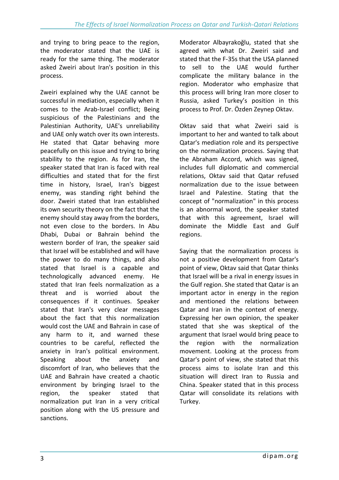and trying to bring peace to the region, the moderator stated that the UAE is ready for the same thing. The moderator asked Zweiri about Iran's position in this process.

Zweiri explained why the UAE cannot be successful in mediation, especially when it comes to the Arab-Israel conflict; Being suspicious of the Palestinians and the Palestinian Authority, UAE's unreliability and UAE only watch over its own interests. He stated that Qatar behaving more peacefully on this issue and trying to bring stability to the region. As for Iran, the speaker stated that Iran is faced with real difficulties and stated that for the first time in history, Israel, Iran's biggest enemy, was standing right behind the door. Zweiri stated that Iran established its own security theory on the fact that the enemy should stay away from the borders, not even close to the borders. In Abu Dhabi, Dubai or Bahrain behind the western border of Iran, the speaker said that Israel will be established and will have the power to do many things, and also stated that Israel is a capable and technologically advanced enemy. He stated that Iran feels normalization as a threat and is worried about the consequences if it continues. Speaker stated that Iran's very clear messages about the fact that this normalization would cost the UAE and Bahrain in case of any harm to it, and warned these countries to be careful, reflected the anxiety in Iran's political environment. Speaking about the anxiety and discomfort of Iran, who believes that the UAE and Bahrain have created a chaotic environment by bringing Israel to the region, the speaker stated that normalization put Iran in a very critical position along with the US pressure and sanctions.

Moderator Albayrakoğlu, stated that she agreed with what Dr. Zweiri said and stated that the F-35s that the USA planned to sell to the UAE would further complicate the military balance in the region. Moderator who emphasize that this process will bring Iran more closer to Russia, asked Turkey's position in this process to Prof. Dr. Özden Zeynep Oktav.

Oktav said that what Zweiri said is important to her and wanted to talk about Qatar's mediation role and its perspective on the normalization process. Saying that the Abraham Accord, which was signed, includes full diplomatic and commercial relations, Oktav said that Qatar refused normalization due to the issue between Israel and Palestine. Stating that the concept of "normalization" in this process is an abnormal word, the speaker stated that with this agreement, Israel will dominate the Middle East and Gulf regions.

Saying that the normalization process is not a positive development from Qatar's point of view, Oktav said that Qatar thinks that Israel will be a rival in energy issues in the Gulf region. She stated that Qatar is an important actor in energy in the region and mentioned the relations between Qatar and Iran in the context of energy. Expressing her own opinion, the speaker stated that she was skeptical of the argument that Israel would bring peace to the region with the normalization movement. Looking at the process from Qatar's point of view, she stated that this process aims to isolate Iran and this situation will direct Iran to Russia and China. Speaker stated that in this process Qatar will consolidate its relations with Turkey.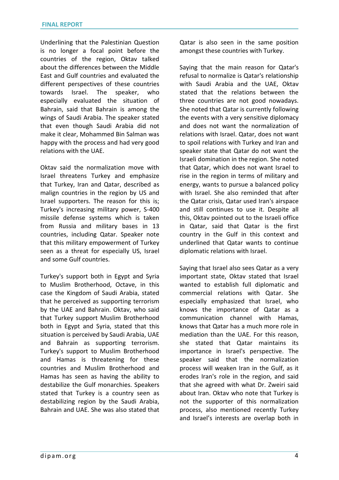Underlining that the Palestinian Question is no longer a focal point before the countries of the region, Oktav talked about the differences between the Middle East and Gulf countries and evaluated the different perspectives of these countries towards Israel. The speaker, who especially evaluated the situation of Bahrain, said that Bahrain is among the wings of Saudi Arabia. The speaker stated that even though Saudi Arabia did not make it clear, Mohammed Bin Salman was happy with the process and had very good relations with the UAE.

Oktav said the normalization move with Israel threatens Turkey and emphasize that Turkey, Iran and Qatar, described as malign countries in the region by US and Israel supporters. The reason for this is; Turkey's increasing military power, S-400 missile defense systems which is taken from Russia and military bases in 13 countries, including Qatar. Speaker note that this military empowerment of Turkey seen as a threat for especially US, Israel and some Gulf countries.

Turkey's support both in Egypt and Syria to Muslim Brotherhood, Octave, in this case the Kingdom of Saudi Arabia, stated that he perceived as supporting terrorism by the UAE and Bahrain. Oktav, who said that Turkey support Muslim Brotherhood both in Egypt and Syria, stated that this situation is perceived by Saudi Arabia, UAE and Bahrain as supporting terrorism. Turkey's support to Muslim Brotherhood and Hamas is threatening for these countries and Muslim Brotherhood and Hamas has seen as having the ability to destabilize the Gulf monarchies. Speakers stated that Turkey is a country seen as destabilizing region by the Saudi Arabia, Bahrain and UAE. She was also stated that Qatar is also seen in the same position amongst these countries with Turkey.

Saying that the main reason for Qatar's refusal to normalize is Qatar's relationship with Saudi Arabia and the UAE, Oktav stated that the relations between the three countries are not good nowadays. She noted that Qatar is currently following the events with a very sensitive diplomacy and does not want the normalization of relations with Israel. Qatar, does not want to spoil relations with Turkey and Iran and speaker state that Qatar do not want the Israeli domination in the region. She noted that Qatar, which does not want Israel to rise in the region in terms of military and energy, wants to pursue a balanced policy with Israel. She also reminded that after the Qatar crisis, Qatar used Iran's airspace and still continues to use it. Despite all this, Oktav pointed out to the Israeli office in Qatar, said that Qatar is the first country in the Gulf in this context and underlined that Qatar wants to continue diplomatic relations with Israel.

Saying that Israel also sees Qatar as a very important state, Oktav stated that Israel wanted to establish full diplomatic and commercial relations with Qatar. She especially emphasized that Israel, who knows the importance of Qatar as a communication channel with Hamas, knows that Qatar has a much more role in mediation than the UAE. For this reason, she stated that Qatar maintains its importance in Israel's perspective. The speaker said that the normalization process will weaken Iran in the Gulf, as it erodes Iran's role in the region, and said that she agreed with what Dr. Zweiri said about Iran. Oktav who note that Turkey is not the supporter of this normalization process, also mentioned recently Turkey and Israel's interests are overlap both in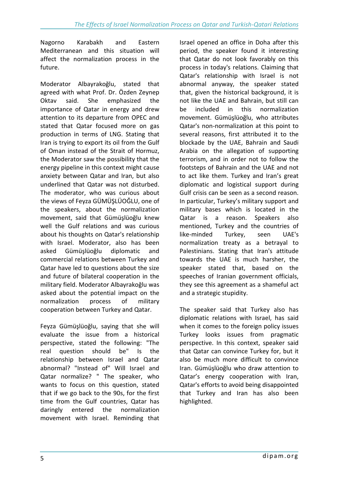Nagorno Karabakh and Eastern Mediterranean and this situation will affect the normalization process in the future.

Moderator Albayrakoğlu, stated that agreed with what Prof. Dr. Özden Zeynep Oktav said. She emphasized the importance of Qatar in energy and drew attention to its departure from OPEC and stated that Qatar focused more on gas production in terms of LNG. Stating that Iran is trying to export its oil from the Gulf of Oman instead of the Strait of Hormuz, the Moderator saw the possibility that the energy pipeline in this context might cause anxiety between Qatar and Iran, but also underlined that Qatar was not disturbed. The moderator, who was curious about the views of Feyza GÜMÜŞLÜOĞLU, one of the speakers, about the normalization movement, said that Gümüşlüoğlu knew well the Gulf relations and was curious about his thoughts on Qatar's relationship with Israel. Moderator, also has been asked Gümüşlüoğlu diplomatic and commercial relations between Turkey and Qatar have led to questions about the size and future of bilateral cooperation in the military field. Moderator Albayrakoğlu was asked about the potential impact on the normalization process of military cooperation between Turkey and Qatar.

Feyza Gümüşlüoğlu, saying that she will evaluate the issue from a historical perspective, stated the following: "The real question should be" Is the relationship between Israel and Qatar abnormal? "Instead of" Will Israel and Qatar normalize? " The speaker, who wants to focus on this question, stated that if we go back to the 90s, for the first time from the Gulf countries, Qatar has daringly entered the normalization movement with Israel. Reminding that Israel opened an office in Doha after this period, the speaker found it interesting that Qatar do not look favorably on this process in today's relations. Claiming that Qatar's relationship with Israel is not abnormal anyway, the speaker stated that, given the historical background, it is not like the UAE and Bahrain, but still can be included in this normalization movement. Gümüşlüoğlu, who attributes Qatar's non-normalization at this point to several reasons, first attributed it to the blockade by the UAE, Bahrain and Saudi Arabia on the allegation of supporting terrorism, and in order not to follow the footsteps of Bahrain and the UAE and not to act like them. Turkey and Iran's great diplomatic and logistical support during Gulf crisis can be seen as a second reason. In particular, Turkey's military support and military bases which is located in the Qatar is a reason. Speakers also mentioned, Turkey and the countries of like-minded Turkey, seen UAE's normalization treaty as a betrayal to Palestinians. Stating that Iran's attitude towards the UAE is much harsher, the speaker stated that, based on the speeches of Iranian government officials, they see this agreement as a shameful act and a strategic stupidity.

The speaker said that Turkey also has diplomatic relations with Israel, has said when it comes to the foreign policy issues Turkey looks issues from pragmatic perspective. In this context, speaker said that Qatar can convince Turkey for, but it also be much more difficult to convince Iran. Gümüşlüoğlu who draw attention to Qatar's energy cooperation with Iran, Qatar's efforts to avoid being disappointed that Turkey and Iran has also been highlighted.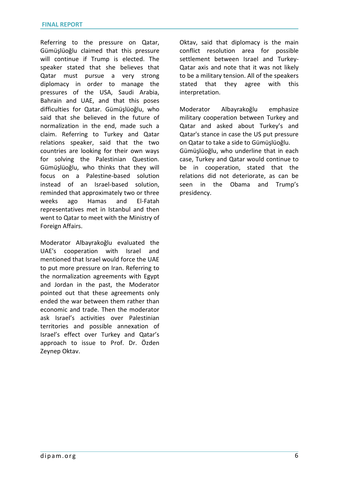Referring to the pressure on Qatar, Gümüşlüoğlu claimed that this pressure will continue if Trump is elected. The speaker stated that she believes that Qatar must pursue a very strong diplomacy in order to manage the pressures of the USA, Saudi Arabia, Bahrain and UAE, and that this poses difficulties for Qatar. Gümüşlüoğlu, who said that she believed in the future of normalization in the end, made such a claim. Referring to Turkey and Qatar relations speaker, said that the two countries are looking for their own ways for solving the Palestinian Question. Gümüşlüoğlu, who thinks that they will focus on a Palestine-based solution instead of an Israel-based solution, reminded that approximately two or three weeks ago Hamas and El-Fatah representatives met in Istanbul and then went to Qatar to meet with the Ministry of Foreign Affairs.

Moderator Albayrakoğlu evaluated the UAE's cooperation with Israel and mentioned that Israel would force the UAE to put more pressure on Iran. Referring to the normalization agreements with Egypt and Jordan in the past, the Moderator pointed out that these agreements only ended the war between them rather than economic and trade. Then the moderator ask Israel's activities over Palestinian territories and possible annexation of Israel's effect over Turkey and Qatar's approach to issue to Prof. Dr. Özden Zeynep Oktav.

Oktav, said that diplomacy is the main conflict resolution area for possible settlement between Israel and Turkey-Qatar axis and note that it was not likely to be a military tension. All of the speakers stated that they agree with this interpretation.

Moderator Albayrakoğlu emphasize military cooperation between Turkey and Qatar and asked about Turkey's and Qatar's stance in case the US put pressure on Qatar to take a side to Gümüşlüoğlu. Gümüşlüoğlu, who underline that in each case, Turkey and Qatar would continue to be in cooperation, stated that the relations did not deteriorate, as can be seen in the Obama and Trump's presidency.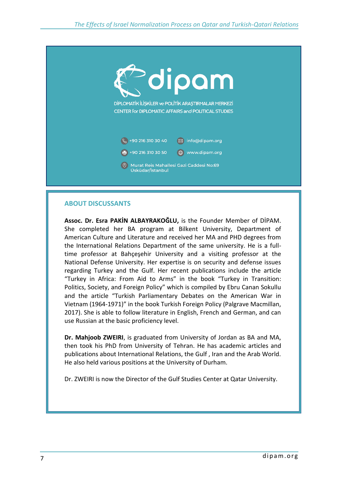

## **ABOUT DISCUSSANTS**

**Assoc. Dr. Esra PAKİN ALBAYRAKOĞLU,** is the Founder Member of DİPAM. She completed her BA program at Bilkent University, Department of American Culture and Literature and received her MA and PHD degrees from the International Relations Department of the same university. He is a fulltime professor at Bahçeşehir University and a visiting professor at the National Defense University. Her expertise is on security and defense issues regarding Turkey and the Gulf. Her recent publications include the article "Turkey in Africa: From Aid to Arms" in the book "Turkey in Transition: Politics, Society, and Foreign Policy" which is compiled by Ebru Canan Sokullu and the article "Turkish Parliamentary Debates on the American War in Vietnam (1964-1971)" in the book Turkish Foreign Policy (Palgrave Macmillan, 2017). She is able to follow literature in English, French and German, and can use Russian at the basic proficiency level.

**Dr. Mahjoob ZWEIRI**, is graduated from University of Jordan as BA and MA, then took his PhD from University of Tehran. He has academic articles and publications about International Relations, the Gulf , Iran and the Arab World. He also held various positions at the University of Durham.

Dr. ZWEIRI is now the Director of the Gulf Studies Center at Qatar University.